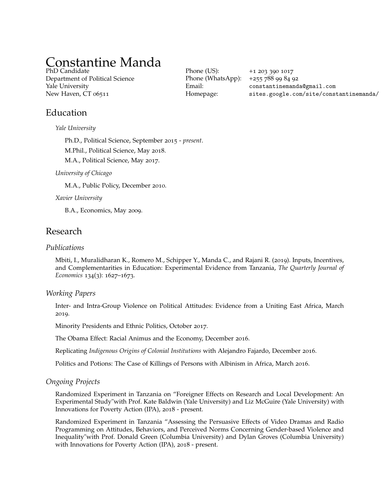### Constantine Manda PhD Candidate

Department of Political Science [Yale University](http://www.yale.edu/)  New Haven, CT 06511

Phone (US): Email: Homepage:

Phone (WhatsApp): +255 788 99 84 92 +1 203 390 1017 [constantinemanda@gmail.com](mailto:constantinemanda@gmail.com) [sites.google.com/site/constantinemanda/](https://sites.google.com/site/constantinemanda/)

## Education

*Yale University* 

Ph.D., Political Science, September 2015 - *present*.

M.Phil., Political Science, May 2018.

M.A., Political Science, May 2017.

*University of Chicago* 

M.A., Public Policy, December 2010.

### *Xavier University*

B.A., Economics, May 2009.

## Research

### *Publications*

Mbiti, I., Muralidharan K., Romero M., Schipper Y., Manda C., and Rajani R. (2019). [Inputs, Incentives,](https://academic.oup.com/qje/article/134/3/1627/5479257)  [and Complementarities in Education: Experimental Evidence from Tanzania,](https://academic.oup.com/qje/article/134/3/1627/5479257) *The Quarterly Journal of Economics* 134(3): 1627–1673.

### *Working Papers*

Inter- and Intra-Group Violence on Political Attitudes: Evidence from a Uniting East Africa, March 2019.

Minority Presidents and Ethnic Politics, October 2017.

The Obama Effect: Racial Animus and the Economy, December 2016.

Replicating *Indigenous Origins of Colonial Institutions* with Alejandro Fajardo, December 2016.

Politics and Potions: The Case of Killings of Persons with Albinism in Africa, March 2016.

### *Ongoing Projects*

Randomized Experiment in Tanzania on "Foreigner Effects on Research and Local Development: An Experimental Study"with Prof. Kate Baldwin (Yale University) and Liz McGuire (Yale University) with Innovations for Poverty Action (IPA), 2018 - present.

Randomized Experiment in Tanzania "Assessing the Persuasive Effects of Video Dramas and Radio Programming on Attitudes, Behaviors, and Perceived Norms Concerning Gender-based Violence and Inequality"with Prof. Donald Green (Columbia University) and Dylan Groves (Columbia University) with Innovations for Poverty Action (IPA), 2018 - present.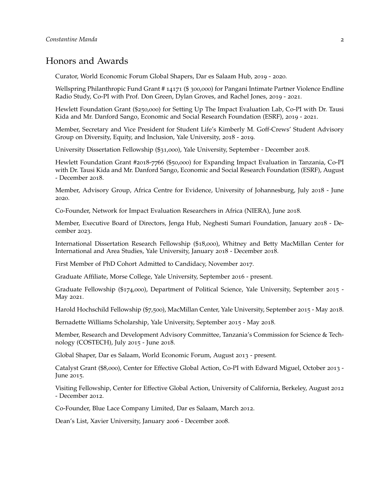## Honors and Awards

Curator, World Economic Forum Global Shapers, Dar es Salaam Hub, 2019 - 2020.

Wellspring Philanthropic Fund Grant # 14171 (\$ 300,000) for Pangani Intimate Partner Violence Endline Radio Study, Co-PI with Prof. Don Green, Dylan Groves, and Rachel Jones, 2019 - 2021.

Hewlett Foundation Grant (\$250,000) for Setting Up The Impact Evaluation Lab, Co-PI with Dr. Tausi Kida and Mr. Danford Sango, Economic and Social Research Foundation (ESRF), 2019 - 2021.

Member, Secretary and Vice President for Student Life's Kimberly M. Goff-Crews' Student Advisory Group on Diversity, Equity, and Inclusion, Yale University, 2018 - 2019.

University Dissertation Fellowship (\$31,000), Yale University, September - December 2018.

Hewlett Foundation Grant #2018-7766 (\$50,000) for Expanding Impact Evaluation in Tanzania, Co-PI with Dr. Tausi Kida and Mr. Danford Sango, Economic and Social Research Foundation (ESRF), August - December 2018.

Member, Advisory Group, Africa Centre for Evidence, University of Johannesburg, July 2018 - June 2020.

Co-Founder, Network for Impact Evaluation Researchers in Africa (NIERA), June 2018.

Member, Executive Board of Directors, Jenga Hub, Neghesti Sumari Foundation, January 2018 - December 2023.

International Dissertation Research Fellowship (\$18,000), Whitney and Betty MacMillan Center for International and Area Studies, Yale University, January 2018 - December 2018.

First Member of PhD Cohort Admitted to Candidacy, November 2017.

Graduate Affliate, Morse College, Yale University, September 2016 - present.

Graduate Fellowship (\$174,000), Department of Political Science, Yale University, September 2015 - May 2021.

Harold Hochschild Fellowship (\$7,500), MacMillan Center, Yale University, September 2015 - May 2018.

Bernadette Williams Scholarship, Yale University, September 2015 - May 2018.

Member, Research and Development Advisory Committee, Tanzania's Commission for Science & Technology (COSTECH), July 2015 - June 2018.

Global Shaper, Dar es Salaam, World Economic Forum, August 2013 - present.

Catalyst Grant (\$8,000), Center for Effective Global Action, Co-PI with Edward Miguel, October 2013 - June 2015.

Visiting Fellowship, Center for Effective Global Action, University of California, Berkeley, August 2012 - December 2012.

Co-Founder, Blue Lace Company Limited, Dar es Salaam, March 2012.

Dean's List, Xavier University, January 2006 - December 2008.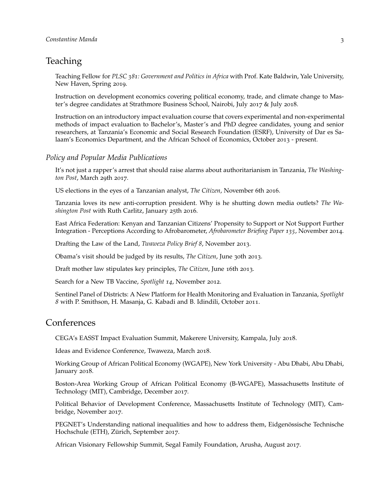## Teaching

Teaching Fellow for *PLSC 381: Government and Politics in Africa* with Prof. Kate Baldwin, Yale University, New Haven, Spring 2019.

Instruction on development economics covering political economy, trade, and climate change to Master's degree candidates at Strathmore Business School, Nairobi, July 2017 & July 2018.

Instruction on an introductory impact evaluation course that covers experimental and non-experimental methods of impact evaluation to Bachelor's, Master's and PhD degree candidates, young and senior researchers, at Tanzania's Economic and Social Research Foundation (ESRF), University of Dar es Salaam's Economics Department, and the African School of Economics, October 2013 - present.

### *Policy and Popular Media Publications*

It's not just a rapper's arrest that should raise alarms about authoritarianism in Tanzania, *The Washington Post*, March 29th 2017.

US elections in the eyes of a Tanzanian analyst, *The Citizen*, November 6th 2016.

Tanzania loves its new anti-corruption president. Why is he shutting down media outlets? *The Washington Post* with Ruth Carlitz, January 25th 2016.

East Africa Federation: Kenyan and Tanzanian Citizens' Propensity to Support or Not Support Further Integration - Perceptions According to Afrobarometer, *Afrobarometer Briefng Paper 135*, November 2014.

Drafting the Law of the Land, *Twaweza Policy Brief 8*, November 2013.

Obama's visit should be judged by its results, *The Citizen*, June 30th 2013.

Draft mother law stipulates key principles, *The Citizen*, June 16th 2013.

Search for a New TB Vaccine, *Spotlight 14*, November 2012.

Sentinel Panel of Districts: A New Platform for Health Monitoring and Evaluation in Tanzania, *Spotlight 8* with P. Smithson, H. Masanja, G. Kabadi and B. Idindili, October 2011.

## Conferences

CEGA's EASST Impact Evaluation Summit, Makerere University, Kampala, July 2018.

Ideas and Evidence Conference, Twaweza, March 2018.

Working Group of African Political Economy (WGAPE), New York University - Abu Dhabi, Abu Dhabi, January 2018.

Boston-Area Working Group of African Political Economy (B-WGAPE), Massachusetts Institute of Technology (MIT), Cambridge, December 2017.

Political Behavior of Development Conference, Massachusetts Institute of Technology (MIT), Cambridge, November 2017.

PEGNET's Understanding national inequalities and how to address them, Eidgenössische Technische Hochschule (ETH), Zürich, September 2017.

African Visionary Fellowship Summit, Segal Family Foundation, Arusha, August 2017.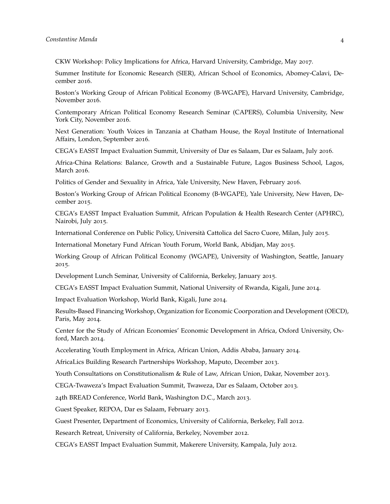CKW Workshop: Policy Implications for Africa, Harvard University, Cambridge, May 2017.

Summer Institute for Economic Research (SIER), African School of Economics, Abomey-Calavi, December 2016.

Boston's Working Group of African Political Economy (B-WGAPE), Harvard University, Cambridge, November 2016.

Contemporary African Political Economy Research Seminar (CAPERS), Columbia University, New York City, November 2016.

Next Generation: Youth Voices in Tanzania at Chatham House, the Royal Institute of International Affairs, London, September 2016.

CEGA's EASST Impact Evaluation Summit, University of Dar es Salaam, Dar es Salaam, July 2016.

Africa-China Relations: Balance, Growth and a Sustainable Future, Lagos Business School, Lagos, March 2016.

Politics of Gender and Sexuality in Africa, Yale University, New Haven, February 2016.

Boston's Working Group of African Political Economy (B-WGAPE), Yale University, New Haven, December 2015.

CEGA's EASST Impact Evaluation Summit, African Population & Health Research Center (APHRC), Nairobi, July 2015.

International Conference on Public Policy, Università Cattolica del Sacro Cuore, Milan, July 2015.

International Monetary Fund African Youth Forum, World Bank, Abidjan, May 2015.

Working Group of African Political Economy (WGAPE), University of Washington, Seattle, January 2015.

Development Lunch Seminar, University of California, Berkeley, January 2015.

CEGA's EASST Impact Evaluation Summit, National University of Rwanda, Kigali, June 2014.

Impact Evaluation Workshop, World Bank, Kigali, June 2014.

Results-Based Financing Workshop, Organization for Economic Coorporation and Development (OECD), Paris, May 2014.

Center for the Study of African Economies' Economic Development in Africa, Oxford University, Oxford, March 2014.

Accelerating Youth Employment in Africa, African Union, Addis Ababa, January 2014.

AfricaLics Building Research Partnerships Workshop, Maputo, December 2013.

Youth Consultations on Constitutionalism & Rule of Law, African Union, Dakar, November 2013.

CEGA-Twaweza's Impact Evaluation Summit, Twaweza, Dar es Salaam, October 2013.

24th BREAD Conference, World Bank, Washington D.C., March 2013.

Guest Speaker, REPOA, Dar es Salaam, February 2013.

Guest Presenter, Department of Economics, University of California, Berkeley, Fall 2012.

Research Retreat, University of California, Berkeley, November 2012.

CEGA's EASST Impact Evaluation Summit, Makerere University, Kampala, July 2012.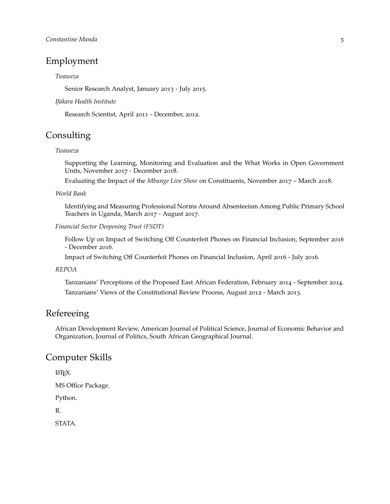## Employment

#### *Twaweza*

Senior Research Analyst, January 2013 - July 2015.

### *Ifakara Health Institute*

Research Scientist, April 2011 - December, 2012.

## Consulting

### *Twaweza*

Supporting the Learning, Monitoring and Evaluation and the What Works in Open Government Units, November 2017 - December 2018.

Evaluating the Impact of the *Mbunge Live Show* on Constituents, November 2017 – March 2018.

#### *World Bank*

Identifying and Measuring Professional Norms Around Absenteeism Among Public Primary School Teachers in Uganda, March 2017 - August 2017.

#### *Financial Sector Deepening Trust (FSDT)*

Follow Up on Impact of Switching Off Counterfeit Phones on Financial Inclusion, September 2016 - December 2016.

Impact of Switching Off Counterfeit Phones on Financial Inclusion, April 2016 - July 2016.

### *REPOA*

Tanzanians' Perceptions of the Proposed East African Federation, February 2014 - September 2014. Tanzanians' Views of the Constitutional Review Process, August 2012 - March 2013.

## Refereeing

African Development Review, American Journal of Political Science, Journal of Economic Behavior and Organization, Journal of Politics, South African Geographical Journal.

## Computer Skills

LATEX.

MS Office Package.

Python.

R.

STATA.